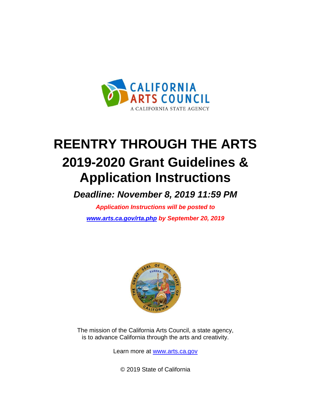

# **REENTRY THROUGH THE ARTS 2019-2020 Grant Guidelines & Application Instructions**

*Deadline: November 8, 2019 11:59 PM*

*Application Instructions will be posted to [www.arts.ca.gov/rta.php](http://www.arts.ca.gov/rta.php) by September 20, 2019*



The mission of the California Arts Council, a state agency, is to advance California through the arts and creativity.

Learn more at [www.arts.ca.gov](http://www.arts.ca.gov/)

© 2019 State of California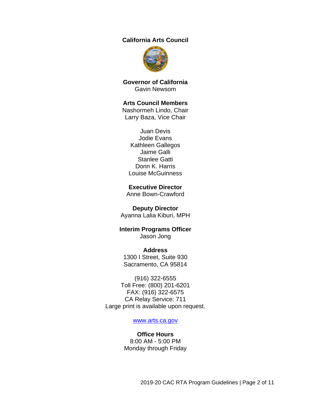#### **California Arts Council**



**Governor of California** Gavin Newsom

#### **Arts Council Members**

Nashormeh Lindo, Chair Larry Baza, Vice Chair

Juan Devis Jodie Evans Kathleen Gallegos Jaime Galli Stanlee Gatti Donn K. Harris Louise McGuinness

#### **Executive Director**

Anne Bown-Crawford

#### **Deputy Director**

Ayanna Lalia Kiburi, MPH

#### **Interim Programs Officer** Jason Jong

**Address** 1300 I Street, Suite 930 Sacramento, CA 95814

(916) 322-6555 Toll Free: (800) 201-6201 FAX: (916) 322-6575 CA Relay Service: 711 Large print is available upon request.

#### [www.arts.ca.gov](http://www.arts.ca.gov/)

#### **Office Hours** 8:00 AM - 5:00 PM Monday through Friday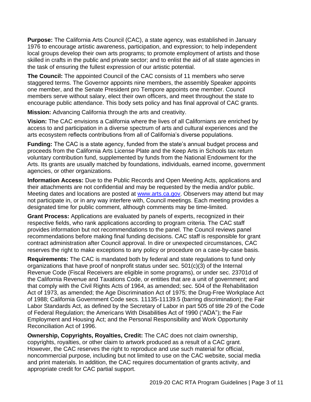**Purpose:** The California Arts Council (CAC), a state agency, was established in January 1976 to encourage artistic awareness, participation, and expression; to help independent local groups develop their own arts programs; to promote employment of artists and those skilled in crafts in the public and private sector; and to enlist the aid of all state agencies in the task of ensuring the fullest expression of our artistic potential.

**The Council:** The appointed Council of the CAC consists of 11 members who serve staggered terms. The Governor appoints nine members, the assembly Speaker appoints one member, and the Senate President pro Tempore appoints one member. Council members serve without salary, elect their own officers, and meet throughout the state to encourage public attendance. This body sets policy and has final approval of CAC grants.

**Mission:** Advancing California through the arts and creativity.

**Vision:** The CAC envisions a California where the lives of all Californians are enriched by access to and participation in a diverse spectrum of arts and cultural experiences and the arts ecosystem reflects contributions from all of California's diverse populations.

**Funding:** The CAC is a state agency, funded from the state's annual budget process and proceeds from the California Arts License Plate and the Keep Arts in Schools tax return voluntary contribution fund, supplemented by funds from the National Endowment for the Arts. Its grants are usually matched by foundations, individuals, earned income, government agencies, or other organizations.

**Information Access:** Due to the Public Records and Open Meeting Acts, applications and their attachments are not confidential and may be requested by the media and/or public. Meeting dates and locations are posted at [www.arts.ca.gov.](http://www.arts.ca.gov/) Observers may attend but may not participate in, or in any way interfere with, Council meetings. Each meeting provides a designated time for public comment, although comments may be time-limited.

**Grant Process:** Applications are evaluated by panels of experts, recognized in their respective fields, who rank applications according to program criteria. The CAC staff provides information but not recommendations to the panel. The Council reviews panel recommendations before making final funding decisions. CAC staff is responsible for grant contract administration after Council approval. In dire or unexpected circumstances, CAC reserves the right to make exceptions to any policy or procedure on a case-by-case basis.

<span id="page-2-0"></span>**Requirements:** The CAC is mandated both by federal and state regulations to fund only organizations that have proof of nonprofit status under sec. 501(c)(3) of the Internal Revenue Code (Fiscal Receivers are eligible in some programs), or under sec. 23701d of the California Revenue and Taxations Code, or entities that are a unit of government; and that comply with the Civil Rights Acts of 1964, as amended; sec. 504 of the Rehabilitation Act of 1973, as amended; the Age Discrimination Act of 1975; the Drug-Free Workplace Act of 1988; California Government Code secs. 11135-11139.5 (barring discrimination); the Fair Labor Standards Act, as defined by the Secretary of Labor in part 505 of title 29 of the Code of Federal Regulation; the Americans With Disabilities Act of 1990 ("ADA"); the Fair Employment and Housing Act; and the Personal Responsibility and Work Opportunity Reconciliation Act of 1996.

**Ownership, Copyrights, Royalties, Credit:** The CAC does not claim ownership, copyrights, royalties, or other claim to artwork produced as a result of a CAC grant. However, the CAC reserves the right to reproduce and use such material for official, noncommercial purpose, including but not limited to use on the CAC website, social media and print materials. In addition, the CAC requires documentation of grants activity, and appropriate credit for CAC partial support.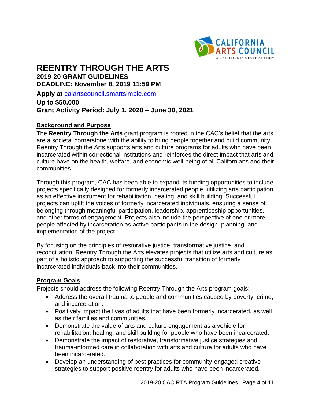

# **REENTRY THROUGH THE ARTS 2019-20 GRANT GUIDELINES DEADLINE: November 8, 2019 11:59 PM**

**Apply at** [calartscouncil.smartsimple.com](https://calartscouncil.smartsimple.com/s_Login.jsp)

**Up to \$50,000 Grant Activity Period: July 1, 2020 – June 30, 2021**

#### **Background and Purpose**

The **Reentry Through the Arts** grant program is rooted in the CAC's belief that the arts are a societal cornerstone with the ability to bring people together and build community. Reentry Through the Arts supports arts and culture programs for adults who have been incarcerated within correctional institutions and reinforces the direct impact that arts and culture have on the health, welfare, and economic well-being of all Californians and their communities.

Through this program, CAC has been able to expand its funding opportunities to include projects specifically designed for formerly incarcerated people, utilizing arts participation as an effective instrument for rehabilitation, healing, and skill building. Successful projects can uplift the voices of formerly incarcerated individuals, ensuring a sense of belonging through meaningful participation, leadership, apprenticeship opportunities, and other forms of engagement. Projects also include the perspective of one or more people affected by incarceration as active participants in the design, planning, and implementation of the project.

By focusing on the principles of restorative justice, transformative justice, and reconciliation, Reentry Through the Arts elevates projects that utilize arts and culture as part of a holistic approach to supporting the successful transition of formerly incarcerated individuals back into their communities.

#### **Program Goals**

Projects should address the following Reentry Through the Arts program goals:

- Address the overall trauma to people and communities caused by poverty, crime, and incarceration.
- Positively impact the lives of adults that have been formerly incarcerated, as well as their families and communities.
- Demonstrate the value of arts and culture engagement as a vehicle for rehabilitation, healing, and skill building for people who have been incarcerated.
- Demonstrate the impact of restorative, transformative justice strategies and trauma-informed care in collaboration with arts and culture for adults who have been incarcerated.
- Develop an understanding of best practices for community-engaged creative strategies to support positive reentry for adults who have been incarcerated.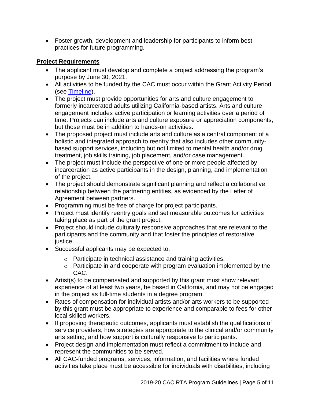• Foster growth, development and leadership for participants to inform best practices for future programming.

# **Project Requirements**

- The applicant must develop and complete a project addressing the program's purpose by June 30, 2021.
- All activities to be funded by the CAC must occur within the Grant Activity Period (see [Timeline\)](#page-9-0).
- The project must provide opportunities for arts and culture engagement to formerly incarcerated adults utilizing California-based artists. Arts and culture engagement includes active participation or learning activities over a period of time. Projects can include arts and culture exposure or appreciation components, but those must be in addition to hands-on activities.
- The proposed project must include arts and culture as a central component of a holistic and integrated approach to reentry that also includes other communitybased support services, including but not limited to mental health and/or drug treatment, job skills training, job placement, and/or case management.
- The project must include the perspective of one or more people affected by incarceration as active participants in the design, planning, and implementation of the project.
- The project should demonstrate significant planning and reflect a collaborative relationship between the partnering entities, as evidenced by the Letter of Agreement between partners.
- Programming must be free of charge for project participants.
- Project must identify reentry goals and set measurable outcomes for activities taking place as part of the grant project.
- Project should include culturally responsive approaches that are relevant to the participants and the community and that foster the principles of restorative justice.
- Successful applicants may be expected to:
	- o Participate in technical assistance and training activities.
	- o Participate in and cooperate with program evaluation implemented by the CAC.
- Artist(s) to be compensated and supported by this grant must show relevant experience of at least two years, be based in California, and may not be engaged in the project as full-time students in a degree program.
- Rates of compensation for individual artists and/or arts workers to be supported by this grant must be appropriate to experience and comparable to fees for other local skilled workers.
- If proposing therapeutic outcomes, applicants must establish the qualifications of service providers, how strategies are appropriate to the clinical and/or community arts setting, and how support is culturally responsive to participants.
- Project design and implementation must reflect a commitment to include and represent the communities to be served.
- All CAC-funded programs, services, information, and facilities where funded activities take place must be accessible for individuals with disabilities, including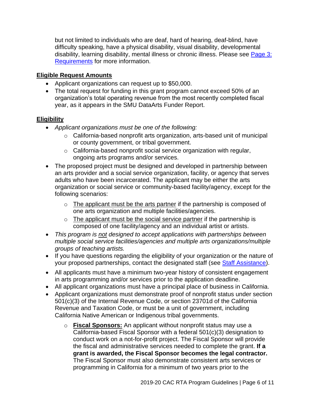but not limited to individuals who are deaf, hard of hearing, deaf-blind, have difficulty speaking, have a physical disability, visual disability, developmental disability, learning disability, mental illness or chronic illness. Please see Page 3: [Requirements](#page-2-0) for more information.

# **Eligible Request Amounts**

- Applicant organizations can request up to \$50,000.
- The total request for funding in this grant program cannot exceed 50% of an organization's total operating revenue from the most recently completed fiscal year, as it appears in the SMU DataArts Funder Report.

# **Eligibility**

- *Applicant organizations must be one of the following:*
	- $\circ$  California-based nonprofit arts organization, arts-based unit of municipal or county government, or tribal government.
	- o California-based nonprofit social service organization with regular, ongoing arts programs and/or services.
- The proposed project must be designed and developed in partnership between an arts provider and a social service organization, facility, or agency that serves adults who have been incarcerated. The applicant may be either the arts organization or social service or community-based facility/agency, except for the following scenarios:
	- o The applicant must be the arts partner if the partnership is composed of one arts organization and multiple facilities/agencies.
	- $\circ$  The applicant must be the social service partner if the partnership is composed of one facility/agency and an individual artist or artists.
- *This program is not designed to accept applications with partnerships between multiple social service facilities/agencies and multiple arts organizations/multiple groups of teaching artists.*
- If you have questions regarding the eligibility of your organization or the nature of your proposed partnerships, contact the designated staff (see [Staff Assistance\)](#page-10-0).
- All applicants must have a minimum two-year history of consistent engagement in arts programming and/or services prior to the application deadline.
- All applicant organizations must have a principal place of business in California.
- Applicant organizations must demonstrate proof of nonprofit status under section 501(c)(3) of the Internal Revenue Code, or section 23701d of the California Revenue and Taxation Code, or must be a unit of government, including California Native American or Indigenous tribal governments.
	- o **Fiscal Sponsors:** An applicant without nonprofit status may use a California-based Fiscal Sponsor with a federal 501(c)(3) designation to conduct work on a not-for-profit project. The Fiscal Sponsor will provide the fiscal and administrative services needed to complete the grant. **If a grant is awarded, the Fiscal Sponsor becomes the legal contractor.** The Fiscal Sponsor must also demonstrate consistent arts services or programming in California for a minimum of two years prior to the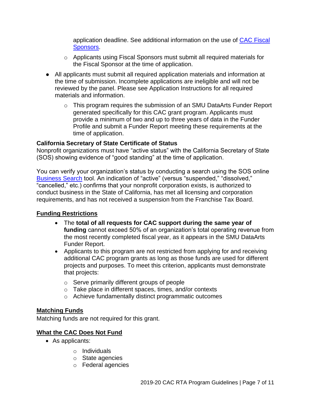application deadline. See additional information on the use of [CAC Fiscal](http://arts.ca.gov/programs/program_files/shared_files/CAC%20Fiscal%20Sponsor%20Information.pdf)  [Sponsors.](http://arts.ca.gov/programs/program_files/shared_files/CAC%20Fiscal%20Sponsor%20Information.pdf)

- $\circ$  Applicants using Fiscal Sponsors must submit all required materials for the Fiscal Sponsor at the time of application.
- All applicants must submit all required application materials and information at the time of submission. Incomplete applications are ineligible and will not be reviewed by the panel. Please see Application Instructions for all required materials and information.
	- o This program requires the submission of an SMU DataArts Funder Report generated specifically for this CAC grant program. Applicants must provide a minimum of two and up to three years of data in the Funder Profile and submit a Funder Report meeting these requirements at the time of application.

# **California Secretary of State Certificate of Status**

Nonprofit organizations must have "active status" with the California Secretary of State (SOS) showing evidence of "good standing" at the time of application.

You can verify your organization's status by conducting a search using the SOS online [Business Search](https://businesssearch.sos.ca.gov/) tool. An indication of "active" (versus "suspended," "dissolved," "cancelled," etc.) confirms that your nonprofit corporation exists, is authorized to conduct business in the State of California, has met all licensing and corporation requirements, and has not received a suspension from the Franchise Tax Board.

# **Funding Restrictions**

- The **total of all requests for CAC support during the same year of funding** cannot exceed 50% of an organization's total operating revenue from the most recently completed fiscal year, as it appears in the SMU DataArts Funder Report.
- Applicants to this program are not restricted from applying for and receiving additional CAC program grants as long as those funds are used for different projects and purposes. To meet this criterion, applicants must demonstrate that projects:
	- o Serve primarily different groups of people
	- o Take place in different spaces, times, and/or contexts
	- o Achieve fundamentally distinct programmatic outcomes

# **Matching Funds**

Matching funds are not required for this grant.

# **What the CAC Does Not Fund**

- As applicants:
	- o Individuals
	- o State agencies
	- o Federal agencies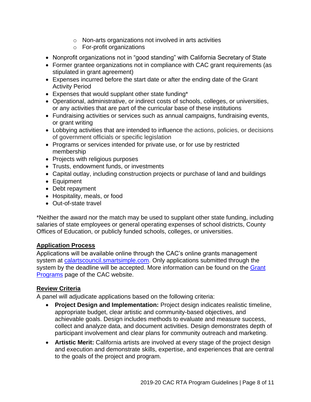- o Non-arts organizations not involved in arts activities
- o For-profit organizations
- Nonprofit organizations not in "good standing" with California Secretary of State
- Former grantee organizations not in compliance with CAC grant requirements (as stipulated in grant agreement)
- Expenses incurred before the start date or after the ending date of the Grant Activity Period
- Expenses that would supplant other state funding\*
- Operational, administrative, or indirect costs of schools, colleges, or universities, or any activities that are part of the curricular base of these institutions
- Fundraising activities or services such as annual campaigns, fundraising events, or grant writing
- Lobbying activities that are intended to influence the actions, policies, or decisions of government officials or specific legislation
- Programs or services intended for private use, or for use by restricted membership
- Projects with religious purposes
- Trusts, endowment funds, or investments
- Capital outlay, including construction projects or purchase of land and buildings
- Equipment
- Debt repayment
- Hospitality, meals, or food
- Out-of-state travel

\*Neither the award nor the match may be used to supplant other state funding, including salaries of state employees or general operating expenses of school districts, County Offices of Education, or publicly funded schools, colleges, or universities.

#### **Application Process**

Applications will be available online through the CAC's online grants management system at [calartscouncil.smartsimple.com.](https://calartscouncil.smartsimple.com/s_Login.jsp) Only applications submitted through the system by the deadline will be accepted. More information can be found on the Grant [Programs](http://arts.ca.gov/programs/app.php) page of the CAC website.

# **Review Criteria**

A panel will adjudicate applications based on the following criteria:

- **Project Design and Implementation:** Project design indicates realistic timeline, appropriate budget, clear artistic and community-based objectives, and achievable goals. Design includes methods to evaluate and measure success, collect and analyze data, and document activities. Design demonstrates depth of participant involvement and clear plans for community outreach and marketing.
- **Artistic Merit:** California artists are involved at every stage of the project design and execution and demonstrate skills, expertise, and experiences that are central to the goals of the project and program.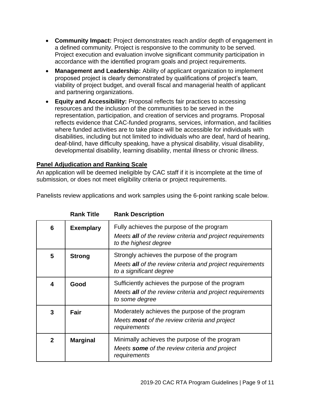- **Community Impact:** Project demonstrates reach and/or depth of engagement in a defined community. Project is responsive to the community to be served. Project execution and evaluation involve significant community participation in accordance with the identified program goals and project requirements.
- **Management and Leadership:** Ability of applicant organization to implement proposed project is clearly demonstrated by qualifications of project's team, viability of project budget, and overall fiscal and managerial health of applicant and partnering organizations.
- **Equity and Accessibility:** Proposal reflects fair practices to accessing resources and the inclusion of the communities to be served in the representation, participation, and creation of services and programs. Proposal reflects evidence that CAC-funded programs, services, information, and facilities where funded activities are to take place will be accessible for individuals with disabilities, including but not limited to individuals who are deaf, hard of hearing, deaf-blind, have difficulty speaking, have a physical disability, visual disability, developmental disability, learning disability, mental illness or chronic illness.

# **Panel Adjudication and Ranking Scale**

An application will be deemed ineligible by CAC staff if it is incomplete at the time of submission, or does not meet eligibility criteria or project requirements.

|  |  |  |  | Panelists review applications and work samples using the 6-point ranking scale below. |
|--|--|--|--|---------------------------------------------------------------------------------------|
|  |  |  |  |                                                                                       |

|              | סוות וועד        | nann Dusunpuon                                                                                                                       |
|--------------|------------------|--------------------------------------------------------------------------------------------------------------------------------------|
| 6            | <b>Exemplary</b> | Fully achieves the purpose of the program<br>Meets all of the review criteria and project requirements<br>to the highest degree      |
| 5            | <b>Strong</b>    | Strongly achieves the purpose of the program<br>Meets all of the review criteria and project requirements<br>to a significant degree |
| 4            | Good             | Sufficiently achieves the purpose of the program<br>Meets all of the review criteria and project requirements<br>to some degree      |
| 3            | Fair             | Moderately achieves the purpose of the program<br>Meets <b>most</b> of the review criteria and project<br>requirements               |
| $\mathbf{2}$ | <b>Marginal</b>  | Minimally achieves the purpose of the program<br>Meets some of the review criteria and project<br>requirements                       |

**Rank Title Rank Description**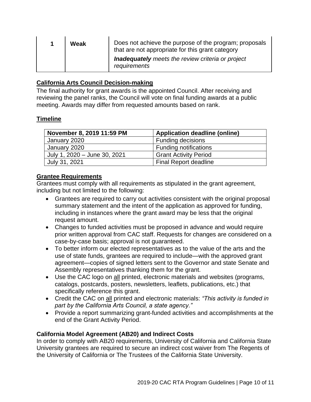| Weak |  | Does not achieve the purpose of the program; proposals<br>that are not appropriate for this grant category |  |  |
|------|--|------------------------------------------------------------------------------------------------------------|--|--|
|      |  | <b>Inadequately</b> meets the review criteria or project<br>requirements                                   |  |  |

#### **California Arts Council Decision-making**

The final authority for grant awards is the appointed Council. After receiving and reviewing the panel ranks, the Council will vote on final funding awards at a public meeting. Awards may differ from requested amounts based on rank.

#### <span id="page-9-0"></span>**Timeline**

| November 8, 2019 11:59 PM    | <b>Application deadline (online)</b> |  |  |
|------------------------------|--------------------------------------|--|--|
| January 2020                 | <b>Funding decisions</b>             |  |  |
| January 2020                 | <b>Funding notifications</b>         |  |  |
| July 1, 2020 - June 30, 2021 | <b>Grant Activity Period</b>         |  |  |
| July 31, 2021                | <b>Final Report deadline</b>         |  |  |

#### **Grantee Requirements**

Grantees must comply with all requirements as stipulated in the grant agreement, including but not limited to the following:

- Grantees are required to carry out activities consistent with the original proposal summary statement and the intent of the application as approved for funding, including in instances where the grant award may be less that the original request amount.
- Changes to funded activities must be proposed in advance and would require prior written approval from CAC staff. Requests for changes are considered on a case-by-case basis; approval is not guaranteed.
- To better inform our elected representatives as to the value of the arts and the use of state funds, grantees are required to include—with the approved grant agreement—copies of signed letters sent to the Governor and state Senate and Assembly representatives thanking them for the grant.
- Use the CAC logo on all printed, electronic materials and websites (programs, catalogs, postcards, posters, newsletters, leaflets, publications, etc.) that specifically reference this grant.
- Credit the CAC on all printed and electronic materials: *"This activity is funded in part by the California Arts Council, a state agency."*
- Provide a report summarizing grant-funded activities and accomplishments at the end of the Grant Activity Period.

# **California Model Agreement (AB20) and Indirect Costs**

In order to comply with AB20 requirements, University of California and California State University grantees are required to secure an indirect cost waiver from The Regents of the University of California or The Trustees of the California State University.